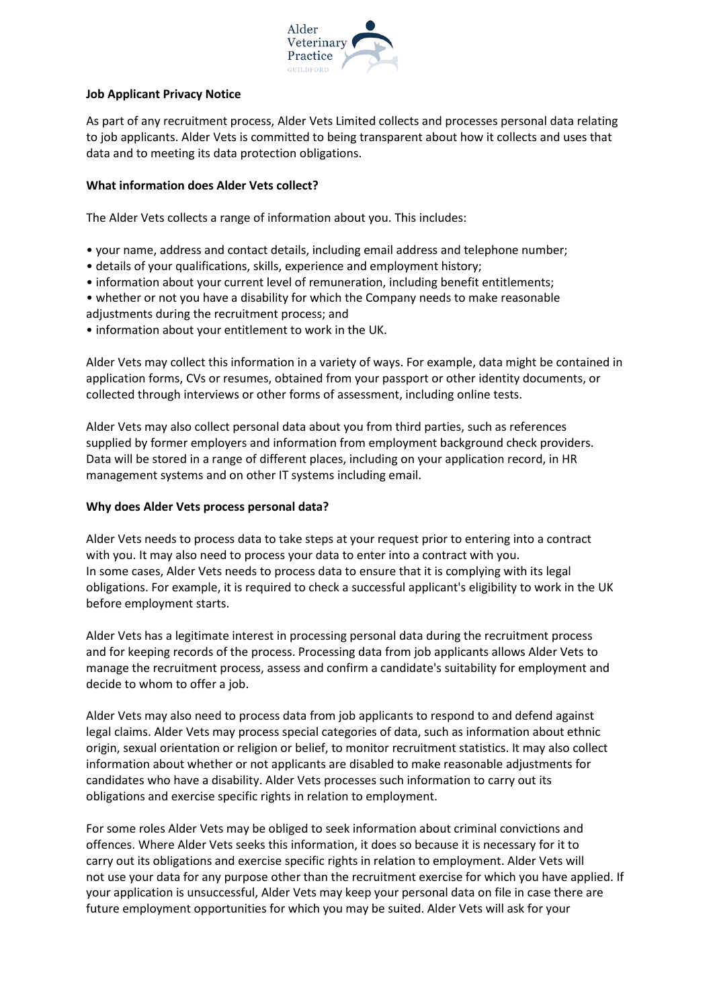

## **Job Applicant Privacy Notice**

As part of any recruitment process, Alder Vets Limited collects and processes personal data relating to job applicants. Alder Vets is committed to being transparent about how it collects and uses that data and to meeting its data protection obligations.

# **What information does Alder Vets collect?**

The Alder Vets collects a range of information about you. This includes:

- your name, address and contact details, including email address and telephone number;
- details of your qualifications, skills, experience and employment history;
- information about your current level of remuneration, including benefit entitlements;
- whether or not you have a disability for which the Company needs to make reasonable
- adjustments during the recruitment process; and
- information about your entitlement to work in the UK.

Alder Vets may collect this information in a variety of ways. For example, data might be contained in application forms, CVs or resumes, obtained from your passport or other identity documents, or collected through interviews or other forms of assessment, including online tests.

Alder Vets may also collect personal data about you from third parties, such as references supplied by former employers and information from employment background check providers. Data will be stored in a range of different places, including on your application record, in HR management systems and on other IT systems including email.

## **Why does Alder Vets process personal data?**

Alder Vets needs to process data to take steps at your request prior to entering into a contract with you. It may also need to process your data to enter into a contract with you. In some cases, Alder Vets needs to process data to ensure that it is complying with its legal obligations. For example, it is required to check a successful applicant's eligibility to work in the UK before employment starts.

Alder Vets has a legitimate interest in processing personal data during the recruitment process and for keeping records of the process. Processing data from job applicants allows Alder Vets to manage the recruitment process, assess and confirm a candidate's suitability for employment and decide to whom to offer a job.

Alder Vets may also need to process data from job applicants to respond to and defend against legal claims. Alder Vets may process special categories of data, such as information about ethnic origin, sexual orientation or religion or belief, to monitor recruitment statistics. It may also collect information about whether or not applicants are disabled to make reasonable adjustments for candidates who have a disability. Alder Vets processes such information to carry out its obligations and exercise specific rights in relation to employment.

For some roles Alder Vets may be obliged to seek information about criminal convictions and offences. Where Alder Vets seeks this information, it does so because it is necessary for it to carry out its obligations and exercise specific rights in relation to employment. Alder Vets will not use your data for any purpose other than the recruitment exercise for which you have applied. If your application is unsuccessful, Alder Vets may keep your personal data on file in case there are future employment opportunities for which you may be suited. Alder Vets will ask for your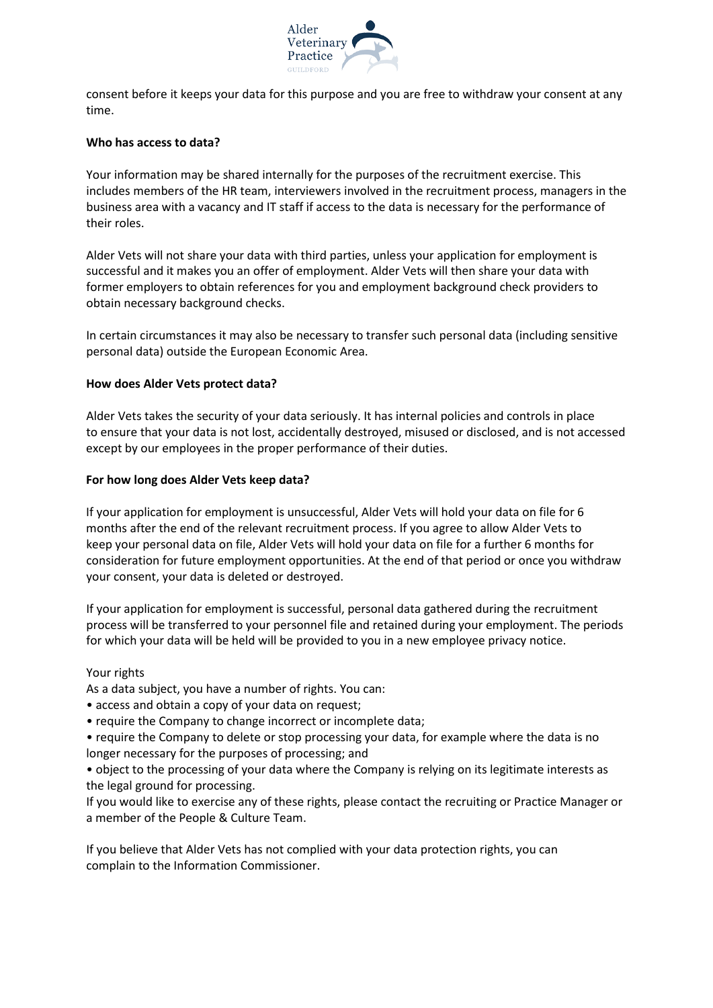

consent before it keeps your data for this purpose and you are free to withdraw your consent at any time.

### **Who has access to data?**

Your information may be shared internally for the purposes of the recruitment exercise. This includes members of the HR team, interviewers involved in the recruitment process, managers in the business area with a vacancy and IT staff if access to the data is necessary for the performance of their roles.

Alder Vets will not share your data with third parties, unless your application for employment is successful and it makes you an offer of employment. Alder Vets will then share your data with former employers to obtain references for you and employment background check providers to obtain necessary background checks.

In certain circumstances it may also be necessary to transfer such personal data (including sensitive personal data) outside the European Economic Area.

#### **How does Alder Vets protect data?**

Alder Vets takes the security of your data seriously. It has internal policies and controls in place to ensure that your data is not lost, accidentally destroyed, misused or disclosed, and is not accessed except by our employees in the proper performance of their duties.

#### **For how long does Alder Vets keep data?**

If your application for employment is unsuccessful, Alder Vets will hold your data on file for 6 months after the end of the relevant recruitment process. If you agree to allow Alder Vets to keep your personal data on file, Alder Vets will hold your data on file for a further 6 months for consideration for future employment opportunities. At the end of that period or once you withdraw your consent, your data is deleted or destroyed.

If your application for employment is successful, personal data gathered during the recruitment process will be transferred to your personnel file and retained during your employment. The periods for which your data will be held will be provided to you in a new employee privacy notice.

#### Your rights

As a data subject, you have a number of rights. You can:

• access and obtain a copy of your data on request;

- require the Company to change incorrect or incomplete data;
- require the Company to delete or stop processing your data, for example where the data is no longer necessary for the purposes of processing; and

• object to the processing of your data where the Company is relying on its legitimate interests as the legal ground for processing.

If you would like to exercise any of these rights, please contact the recruiting or Practice Manager or a member of the People & Culture Team.

If you believe that Alder Vets has not complied with your data protection rights, you can complain to the Information Commissioner.